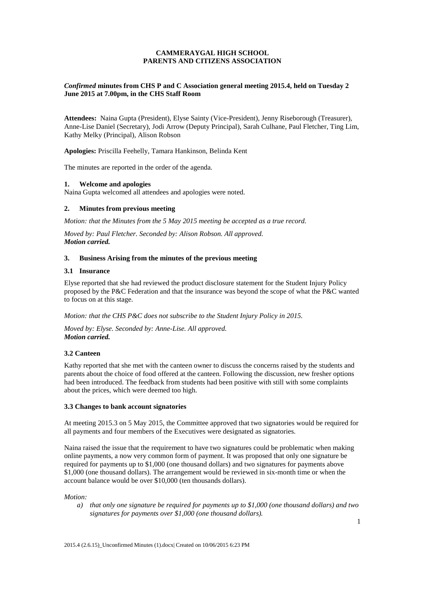## **CAMMERAYGAL HIGH SCHOOL PARENTS AND CITIZENS ASSOCIATION**

## *Confirmed* **minutes from CHS P and C Association general meeting 2015.4, held on Tuesday 2 June 2015 at 7.00pm, in the CHS Staff Room**

**Attendees:** Naina Gupta (President), Elyse Sainty (Vice-President), Jenny Riseborough (Treasurer), Anne-Lise Daniel (Secretary), Jodi Arrow (Deputy Principal), Sarah Culhane, Paul Fletcher, Ting Lim, Kathy Melky (Principal), Alison Robson

**Apologies:** Priscilla Feehelly, Tamara Hankinson, Belinda Kent

The minutes are reported in the order of the agenda.

### **1. Welcome and apologies**

Naina Gupta welcomed all attendees and apologies were noted.

### **2. Minutes from previous meeting**

*Motion: that the Minutes from the 5 May 2015 meeting be accepted as a true record.* 

*Moved by: Paul Fletcher. Seconded by: Alison Robson. All approved. Motion carried.*

## **3. Business Arising from the minutes of the previous meeting**

### **3.1 Insurance**

Elyse reported that she had reviewed the product disclosure statement for the Student Injury Policy proposed by the P&C Federation and that the insurance was beyond the scope of what the P&C wanted to focus on at this stage.

*Motion: that the CHS P&C does not subscribe to the Student Injury Policy in 2015.* 

*Moved by: Elyse. Seconded by: Anne-Lise. All approved. Motion carried.*

### **3.2 Canteen**

Kathy reported that she met with the canteen owner to discuss the concerns raised by the students and parents about the choice of food offered at the canteen. Following the discussion, new fresher options had been introduced. The feedback from students had been positive with still with some complaints about the prices, which were deemed too high.

### **3.3 Changes to bank account signatories**

At meeting 2015.3 on 5 May 2015, the Committee approved that two signatories would be required for all payments and four members of the Executives were designated as signatories.

Naina raised the issue that the requirement to have two signatures could be problematic when making online payments, a now very common form of payment. It was proposed that only one signature be required for payments up to \$1,000 (one thousand dollars) and two signatures for payments above \$1,000 (one thousand dollars). The arrangement would be reviewed in six-month time or when the account balance would be over \$10,000 (ten thousands dollars).

*Motion:* 

*a) that only one signature be required for payments up to \$1,000 (one thousand dollars) and two signatures for payments over \$1,000 (one thousand dollars).*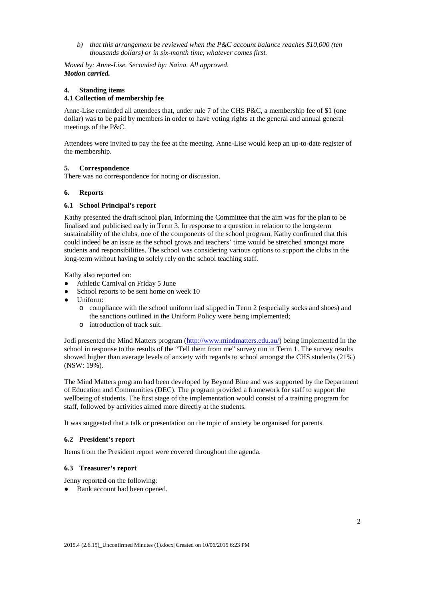*b) that this arrangement be reviewed when the P&C account balance reaches \$10,000 (ten thousands dollars) or in six-month time, whatever comes first.*

*Moved by: Anne-Lise. Seconded by: Naina. All approved. Motion carried.*

## **4. Standing items**

# **4.1 Collection of membership fee**

Anne-Lise reminded all attendees that, under rule 7 of the CHS P&C, a membership fee of \$1 (one dollar) was to be paid by members in order to have voting rights at the general and annual general meetings of the P&C.

Attendees were invited to pay the fee at the meeting. Anne-Lise would keep an up-to-date register of the membership.

## **5. Correspondence**

There was no correspondence for noting or discussion.

### **6. Reports**

## **6.1 School Principal's report**

Kathy presented the draft school plan, informing the Committee that the aim was for the plan to be finalised and publicised early in Term 3. In response to a question in relation to the long-term sustainability of the clubs, one of the components of the school program, Kathy confirmed that this could indeed be an issue as the school grows and teachers' time would be stretched amongst more students and responsibilities. The school was considering various options to support the clubs in the long-term without having to solely rely on the school teaching staff.

Kathy also reported on:

- Athletic Carnival on Friday 5 June
- School reports to be sent home on week 10
- Uniform:
	- o compliance with the school uniform had slipped in Term 2 (especially socks and shoes) and the sanctions outlined in the Uniform Policy were being implemented;
	- o introduction of track suit.

Jodi presented the Mind Matters program [\(http://www.mindmatters.edu.au/\)](http://www.mindmatters.edu.au/) being implemented in the school in response to the results of the "Tell them from me" survey run in Term 1. The survey results showed higher than average levels of anxiety with regards to school amongst the CHS students (21%) (NSW: 19%).

The Mind Matters program had been developed by Beyond Blue and was supported by the Department of Education and Communities (DEC). The program provided a framework for staff to support the wellbeing of students. The first stage of the implementation would consist of a training program for staff, followed by activities aimed more directly at the students.

It was suggested that a talk or presentation on the topic of anxiety be organised for parents.

### **6.2 President's report**

Items from the President report were covered throughout the agenda.

### **6.3 Treasurer's report**

Jenny reported on the following:

• Bank account had been opened.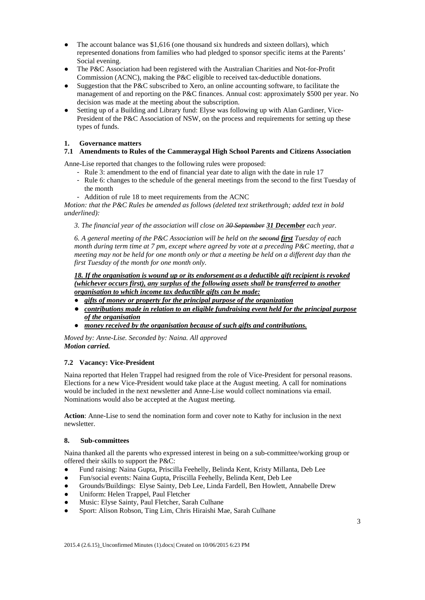- The account balance was \$1,616 (one thousand six hundreds and sixteen dollars), which represented donations from families who had pledged to sponsor specific items at the Parents' Social evening.
- The P&C Association had been registered with the Australian Charities and Not-for-Profit Commission (ACNC), making the P&C eligible to received tax-deductible donations.
- Suggestion that the P&C subscribed to Xero, an online accounting software, to facilitate the management of and reporting on the P&C finances. Annual cost: approximately \$500 per year. No decision was made at the meeting about the subscription.
- Setting up of a Building and Library fund: Elyse was following up with Alan Gardiner, Vice-President of the P&C Association of NSW, on the process and requirements for setting up these types of funds.

## **1. Governance matters**

# **7.1 Amendments to Rules of the Cammeraygal High School Parents and Citizens Association**

Anne-Lise reported that changes to the following rules were proposed:

- Rule 3: amendment to the end of financial year date to align with the date in rule 17
	- Rule 6: changes to the schedule of the general meetings from the second to the first Tuesday of the month
	- Addition of rule 18 to meet requirements from the ACNC

*Motion: that the P&C Rules be amended as follows (deleted text strikethrough; added text in bold underlined):*

*3. The financial year of the association will close on 30 September 31 December each year.*

*6. A general meeting of the P&C Association will be held on the second first Tuesday of each month during term time at 7 pm, except where agreed by vote at a preceding P&C meeting, that a meeting may not be held for one month only or that a meeting be held on a different day than the first Tuesday of the month for one month only.* 

*18. If the organisation is wound up or its endorsement as a deductible gift recipient is revoked (whichever occurs first), any surplus of the following assets shall be transferred to another organisation to which income tax deductible gifts can be made:*

- *gifts of money or property for the principal purpose of the organization*
- *contributions made in relation to an eligible fundraising event held for the principal purpose of the organisation*
- *money received by the organisation because of such gifts and contributions.*

*Moved by: Anne-Lise. Seconded by: Naina. All approved Motion carried.*

# **7.2 Vacancy: Vice-President**

Naina reported that Helen Trappel had resigned from the role of Vice-President for personal reasons. Elections for a new Vice-President would take place at the August meeting. A call for nominations would be included in the next newsletter and Anne-Lise would collect nominations via email. Nominations would also be accepted at the August meeting.

**Action**: Anne-Lise to send the nomination form and cover note to Kathy for inclusion in the next newsletter.

## **8. Sub-committees**

Naina thanked all the parents who expressed interest in being on a sub-committee/working group or offered their skills to support the P&C:

- Fund raising: Naina Gupta, Priscilla Feehelly, Belinda Kent, Kristy Millanta, Deb Lee
- Fun/social events: Naina Gupta, Priscilla Feehelly, Belinda Kent, Deb Lee
- Grounds/Buildings: Elyse Sainty, Deb Lee, Linda Fardell, Ben Howlett, Annabelle Drew
- Uniform: Helen Trappel, Paul Fletcher
- Music: Elyse Sainty, Paul Fletcher, Sarah Culhane
- Sport: Alison Robson, Ting Lim, Chris Hiraishi Mae, Sarah Culhane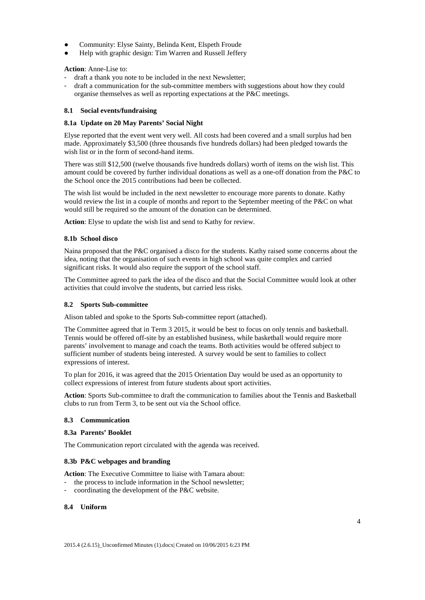- Community: Elyse Sainty, Belinda Kent, Elspeth Froude
- Help with graphic design: Tim Warren and Russell Jeffery

**Action**: Anne-Lise to:

- draft a thank you note to be included in the next Newsletter;
- draft a communication for the sub-committee members with suggestions about how they could organise themselves as well as reporting expectations at the P&C meetings.

### **8.1 Social events/fundraising**

### **8.1a Update on 20 May Parents' Social Night**

Elyse reported that the event went very well. All costs had been covered and a small surplus had ben made. Approximately \$3,500 (three thousands five hundreds dollars) had been pledged towards the wish list or in the form of second-hand items.

There was still \$12,500 (twelve thousands five hundreds dollars) worth of items on the wish list. This amount could be covered by further individual donations as well as a one-off donation from the P&C to the School once the 2015 contributions had been be collected.

The wish list would be included in the next newsletter to encourage more parents to donate. Kathy would review the list in a couple of months and report to the September meeting of the P&C on what would still be required so the amount of the donation can be determined.

**Action**: Elyse to update the wish list and send to Kathy for review.

### **8.1b School disco**

Naina proposed that the P&C organised a disco for the students. Kathy raised some concerns about the idea, noting that the organisation of such events in high school was quite complex and carried significant risks. It would also require the support of the school staff.

The Committee agreed to park the idea of the disco and that the Social Committee would look at other activities that could involve the students, but carried less risks.

### **8.2 Sports Sub-committee**

Alison tabled and spoke to the Sports Sub-committee report (attached).

The Committee agreed that in Term 3 2015, it would be best to focus on only tennis and basketball. Tennis would be offered off-site by an established business, while basketball would require more parents' involvement to manage and coach the teams. Both activities would be offered subject to sufficient number of students being interested. A survey would be sent to families to collect expressions of interest.

To plan for 2016, it was agreed that the 2015 Orientation Day would be used as an opportunity to collect expressions of interest from future students about sport activities.

**Action**: Sports Sub-committee to draft the communication to families about the Tennis and Basketball clubs to run from Term 3, to be sent out via the School office.

## **8.3 Communication**

#### **8.3a Parents' Booklet**

The Communication report circulated with the agenda was received.

### **8.3b P&C webpages and branding**

**Action**: The Executive Committee to liaise with Tamara about:

the process to include information in the School newsletter;

- coordinating the development of the P&C website.

### **8.4 Uniform**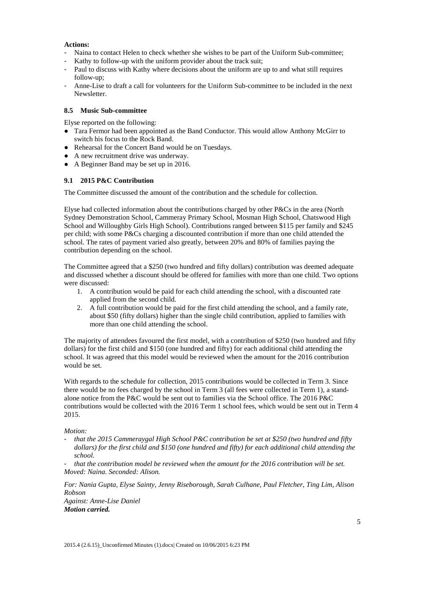## **Actions:**

- Naina to contact Helen to check whether she wishes to be part of the Uniform Sub-committee;
- Kathy to follow-up with the uniform provider about the track suit;
- Paul to discuss with Kathy where decisions about the uniform are up to and what still requires follow-up;
- Anne-Lise to draft a call for volunteers for the Uniform Sub-committee to be included in the next Newsletter.

#### **8.5 Music Sub-committee**

Elyse reported on the following:

- Tara Fermor had been appointed as the Band Conductor. This would allow Anthony McGirr to switch his focus to the Rock Band.
- Rehearsal for the Concert Band would be on Tuesdays.
- A new recruitment drive was underway.
- A Beginner Band may be set up in 2016.

### **9.1 2015 P&C Contribution**

The Committee discussed the amount of the contribution and the schedule for collection.

Elyse had collected information about the contributions charged by other P&Cs in the area (North Sydney Demonstration School, Cammeray Primary School, Mosman High School, Chatswood High School and Willoughby Girls High School). Contributions ranged between \$115 per family and \$245 per child; with some P&Cs charging a discounted contribution if more than one child attended the school. The rates of payment varied also greatly, between 20% and 80% of families paying the contribution depending on the school.

The Committee agreed that a \$250 (two hundred and fifty dollars) contribution was deemed adequate and discussed whether a discount should be offered for families with more than one child. Two options were discussed:

- 1. A contribution would be paid for each child attending the school, with a discounted rate applied from the second child.
- 2. A full contribution would be paid for the first child attending the school, and a family rate, about \$50 (fifty dollars) higher than the single child contribution, applied to families with more than one child attending the school.

The majority of attendees favoured the first model, with a contribution of \$250 (two hundred and fifty dollars) for the first child and \$150 (one hundred and fifty) for each additional child attending the school. It was agreed that this model would be reviewed when the amount for the 2016 contribution would be set.

With regards to the schedule for collection, 2015 contributions would be collected in Term 3. Since there would be no fees charged by the school in Term 3 (all fees were collected in Term 1), a standalone notice from the P&C would be sent out to families via the School office. The 2016 P&C contributions would be collected with the 2016 Term 1 school fees, which would be sent out in Term 4 2015.

#### *Motion:*

- *that the 2015 Cammeraygal High School P&C contribution be set at \$250 (two hundred and fifty dollars) for the first child and \$150 (one hundred and fifty) for each additional child attending the school.* 

- *that the contribution model be reviewed when the amount for the 2016 contribution will be set. Moved: Naina. Seconded: Alison.*

*For: Nania Gupta, Elyse Sainty, Jenny Riseborough, Sarah Culhane, Paul Fletcher, Ting Lim, Alison Robson*

*Against: Anne-Lise Daniel Motion carried.*